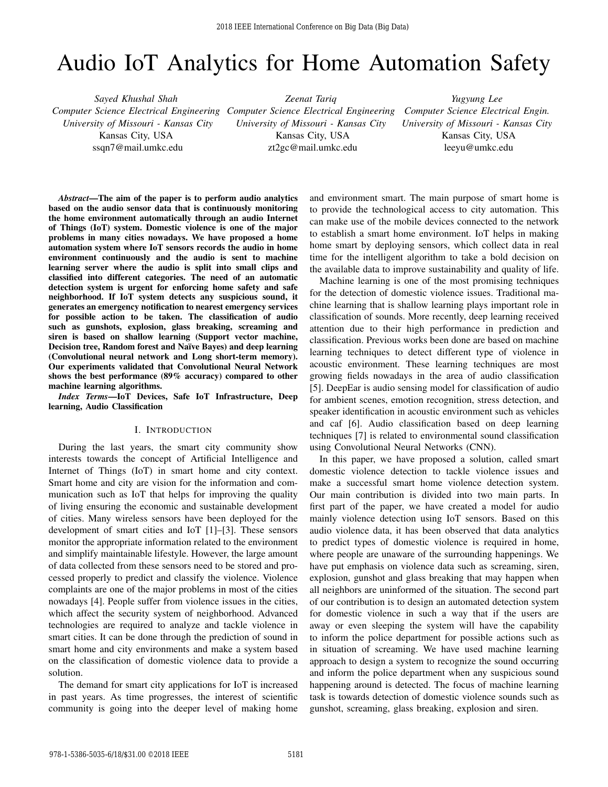# Audio IoT Analytics for Home Automation Safety

*Sayed Khushal Shah Computer Science Electrical Engineering Computer Science Electrical Engineering University of Missouri - Kansas City* Kansas City, USA

ssqn7@mail.umkc.edu

*Zeenat Tariq University of Missouri - Kansas City* Kansas City, USA zt2gc@mail.umkc.edu

*Yugyung Lee Computer Science Electrical Engin. University of Missouri - Kansas City* Kansas City, USA leeyu@umkc.edu

*Abstract*—The aim of the paper is to perform audio analytics based on the audio sensor data that is continuously monitoring the home environment automatically through an audio Internet of Things (IoT) system. Domestic violence is one of the major problems in many cities nowadays. We have proposed a home automation system where IoT sensors records the audio in home environment continuously and the audio is sent to machine learning server where the audio is split into small clips and classified into different categories. The need of an automatic detection system is urgent for enforcing home safety and safe neighborhood. If IoT system detects any suspicious sound, it generates an emergency notification to nearest emergency services for possible action to be taken. The classification of audio such as gunshots, explosion, glass breaking, screaming and siren is based on shallow learning (Support vector machine, Decision tree, Random forest and Naïve Bayes) and deep learning (Convolutional neural network and Long short-term memory). Our experiments validated that Convolutional Neural Network shows the best performance (89% accuracy) compared to other machine learning algorithms.

*Index Terms*—IoT Devices, Safe IoT Infrastructure, Deep learning, Audio Classification

#### I. INTRODUCTION

During the last years, the smart city community show interests towards the concept of Artificial Intelligence and Internet of Things (IoT) in smart home and city context. Smart home and city are vision for the information and communication such as IoT that helps for improving the quality of living ensuring the economic and sustainable development of cities. Many wireless sensors have been deployed for the development of smart cities and IoT [1]–[3]. These sensors monitor the appropriate information related to the environment and simplify maintainable lifestyle. However, the large amount of data collected from these sensors need to be stored and processed properly to predict and classify the violence. Violence complaints are one of the major problems in most of the cities nowadays [4]. People suffer from violence issues in the cities, which affect the security system of neighborhood. Advanced technologies are required to analyze and tackle violence in smart cities. It can be done through the prediction of sound in smart home and city environments and make a system based on the classification of domestic violence data to provide a solution.

The demand for smart city applications for IoT is increased in past years. As time progresses, the interest of scientific community is going into the deeper level of making home and environment smart. The main purpose of smart home is to provide the technological access to city automation. This can make use of the mobile devices connected to the network to establish a smart home environment. IoT helps in making home smart by deploying sensors, which collect data in real time for the intelligent algorithm to take a bold decision on the available data to improve sustainability and quality of life.

Machine learning is one of the most promising techniques for the detection of domestic violence issues. Traditional machine learning that is shallow learning plays important role in classification of sounds. More recently, deep learning received attention due to their high performance in prediction and classification. Previous works been done are based on machine learning techniques to detect different type of violence in acoustic environment. These learning techniques are most growing fields nowadays in the area of audio classification [5]. DeepEar is audio sensing model for classification of audio for ambient scenes, emotion recognition, stress detection, and speaker identification in acoustic environment such as vehicles and caf [6]. Audio classification based on deep learning techniques [7] is related to environmental sound classification using Convolutional Neural Networks (CNN).

In this paper, we have proposed a solution, called smart domestic violence detection to tackle violence issues and make a successful smart home violence detection system. Our main contribution is divided into two main parts. In first part of the paper, we have created a model for audio mainly violence detection using IoT sensors. Based on this audio violence data, it has been observed that data analytics to predict types of domestic violence is required in home, where people are unaware of the surrounding happenings. We have put emphasis on violence data such as screaming, siren, explosion, gunshot and glass breaking that may happen when all neighbors are uninformed of the situation. The second part of our contribution is to design an automated detection system for domestic violence in such a way that if the users are away or even sleeping the system will have the capability to inform the police department for possible actions such as in situation of screaming. We have used machine learning approach to design a system to recognize the sound occurring and inform the police department when any suspicious sound happening around is detected. The focus of machine learning task is towards detection of domestic violence sounds such as gunshot, screaming, glass breaking, explosion and siren.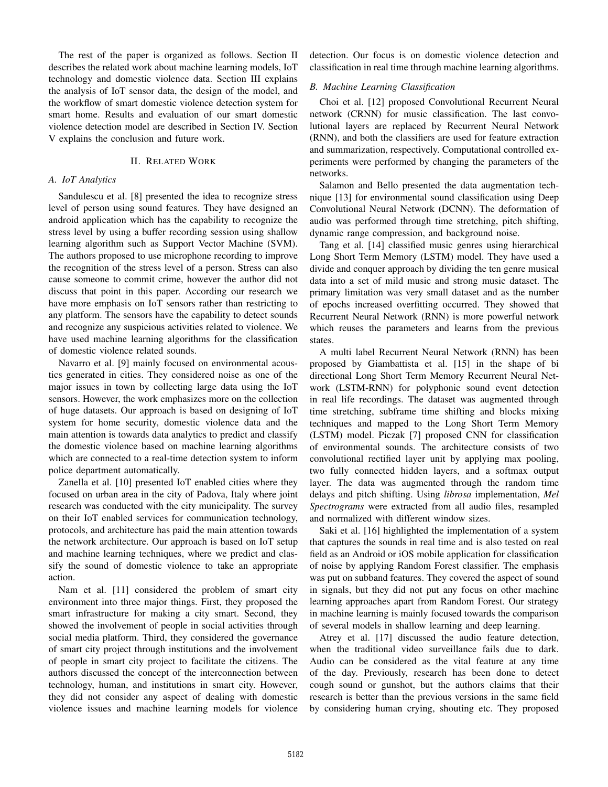The rest of the paper is organized as follows. Section II describes the related work about machine learning models, IoT technology and domestic violence data. Section III explains the analysis of IoT sensor data, the design of the model, and the workflow of smart domestic violence detection system for smart home. Results and evaluation of our smart domestic violence detection model are described in Section IV. Section V explains the conclusion and future work.

## II. RELATED WORK

## *A. IoT Analytics*

Sandulescu et al. [8] presented the idea to recognize stress level of person using sound features. They have designed an android application which has the capability to recognize the stress level by using a buffer recording session using shallow learning algorithm such as Support Vector Machine (SVM). The authors proposed to use microphone recording to improve the recognition of the stress level of a person. Stress can also cause someone to commit crime, however the author did not discuss that point in this paper. According our research we have more emphasis on IoT sensors rather than restricting to any platform. The sensors have the capability to detect sounds and recognize any suspicious activities related to violence. We have used machine learning algorithms for the classification of domestic violence related sounds.

Navarro et al. [9] mainly focused on environmental acoustics generated in cities. They considered noise as one of the major issues in town by collecting large data using the IoT sensors. However, the work emphasizes more on the collection of huge datasets. Our approach is based on designing of IoT system for home security, domestic violence data and the main attention is towards data analytics to predict and classify the domestic violence based on machine learning algorithms which are connected to a real-time detection system to inform police department automatically.

Zanella et al. [10] presented IoT enabled cities where they focused on urban area in the city of Padova, Italy where joint research was conducted with the city municipality. The survey on their IoT enabled services for communication technology, protocols, and architecture has paid the main attention towards the network architecture. Our approach is based on IoT setup and machine learning techniques, where we predict and classify the sound of domestic violence to take an appropriate action.

Nam et al. [11] considered the problem of smart city environment into three major things. First, they proposed the smart infrastructure for making a city smart. Second, they showed the involvement of people in social activities through social media platform. Third, they considered the governance of smart city project through institutions and the involvement of people in smart city project to facilitate the citizens. The authors discussed the concept of the interconnection between technology, human, and institutions in smart city. However, they did not consider any aspect of dealing with domestic violence issues and machine learning models for violence detection. Our focus is on domestic violence detection and classification in real time through machine learning algorithms.

# *B. Machine Learning Classification*

Choi et al. [12] proposed Convolutional Recurrent Neural network (CRNN) for music classification. The last convolutional layers are replaced by Recurrent Neural Network (RNN), and both the classifiers are used for feature extraction and summarization, respectively. Computational controlled experiments were performed by changing the parameters of the networks.

Salamon and Bello presented the data augmentation technique [13] for environmental sound classification using Deep Convolutional Neural Network (DCNN). The deformation of audio was performed through time stretching, pitch shifting, dynamic range compression, and background noise.

Tang et al. [14] classified music genres using hierarchical Long Short Term Memory (LSTM) model. They have used a divide and conquer approach by dividing the ten genre musical data into a set of mild music and strong music dataset. The primary limitation was very small dataset and as the number of epochs increased overfitting occurred. They showed that Recurrent Neural Network (RNN) is more powerful network which reuses the parameters and learns from the previous states.

A multi label Recurrent Neural Network (RNN) has been proposed by Giambattista et al. [15] in the shape of bi directional Long Short Term Memory Recurrent Neural Network (LSTM-RNN) for polyphonic sound event detection in real life recordings. The dataset was augmented through time stretching, subframe time shifting and blocks mixing techniques and mapped to the Long Short Term Memory (LSTM) model. Piczak [7] proposed CNN for classification of environmental sounds. The architecture consists of two convolutional rectified layer unit by applying max pooling, two fully connected hidden layers, and a softmax output layer. The data was augmented through the random time delays and pitch shifting. Using *librosa* implementation, *Mel Spectrograms* were extracted from all audio files, resampled and normalized with different window sizes.

Saki et al. [16] highlighted the implementation of a system that captures the sounds in real time and is also tested on real field as an Android or iOS mobile application for classification of noise by applying Random Forest classifier. The emphasis was put on subband features. They covered the aspect of sound in signals, but they did not put any focus on other machine learning approaches apart from Random Forest. Our strategy in machine learning is mainly focused towards the comparison of several models in shallow learning and deep learning.

Atrey et al. [17] discussed the audio feature detection, when the traditional video surveillance fails due to dark. Audio can be considered as the vital feature at any time of the day. Previously, research has been done to detect cough sound or gunshot, but the authors claims that their research is better than the previous versions in the same field by considering human crying, shouting etc. They proposed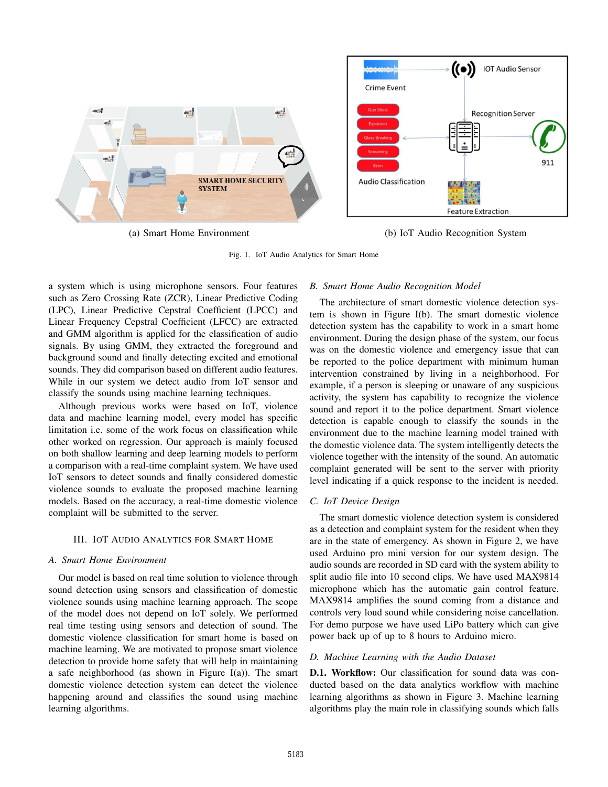

(a) Smart Home Environment (b) IoT Audio Recognition System

Fig. 1. IoT Audio Analytics for Smart Home

a system which is using microphone sensors. Four features such as Zero Crossing Rate (ZCR), Linear Predictive Coding (LPC), Linear Predictive Cepstral Coefficient (LPCC) and Linear Frequency Cepstral Coefficient (LFCC) are extracted and GMM algorithm is applied for the classification of audio signals. By using GMM, they extracted the foreground and background sound and finally detecting excited and emotional sounds. They did comparison based on different audio features. While in our system we detect audio from IoT sensor and classify the sounds using machine learning techniques.

Although previous works were based on IoT, violence data and machine learning model, every model has specific limitation i.e. some of the work focus on classification while other worked on regression. Our approach is mainly focused on both shallow learning and deep learning models to perform a comparison with a real-time complaint system. We have used IoT sensors to detect sounds and finally considered domestic violence sounds to evaluate the proposed machine learning models. Based on the accuracy, a real-time domestic violence complaint will be submitted to the server.

## III. IOT AUDIO ANALYTICS FOR SMART HOME

### *A. Smart Home Environment*

Our model is based on real time solution to violence through sound detection using sensors and classification of domestic violence sounds using machine learning approach. The scope of the model does not depend on IoT solely. We performed real time testing using sensors and detection of sound. The domestic violence classification for smart home is based on machine learning. We are motivated to propose smart violence detection to provide home safety that will help in maintaining a safe neighborhood (as shown in Figure I(a)). The smart domestic violence detection system can detect the violence happening around and classifies the sound using machine learning algorithms.

#### *B. Smart Home Audio Recognition Model*

The architecture of smart domestic violence detection system is shown in Figure I(b). The smart domestic violence detection system has the capability to work in a smart home environment. During the design phase of the system, our focus was on the domestic violence and emergency issue that can be reported to the police department with minimum human intervention constrained by living in a neighborhood. For example, if a person is sleeping or unaware of any suspicious activity, the system has capability to recognize the violence sound and report it to the police department. Smart violence detection is capable enough to classify the sounds in the environment due to the machine learning model trained with the domestic violence data. The system intelligently detects the violence together with the intensity of the sound. An automatic complaint generated will be sent to the server with priority level indicating if a quick response to the incident is needed.

# *C. IoT Device Design*

The smart domestic violence detection system is considered as a detection and complaint system for the resident when they are in the state of emergency. As shown in Figure 2, we have used Arduino pro mini version for our system design. The audio sounds are recorded in SD card with the system ability to split audio file into 10 second clips. We have used MAX9814 microphone which has the automatic gain control feature. MAX9814 amplifies the sound coming from a distance and controls very loud sound while considering noise cancellation. For demo purpose we have used LiPo battery which can give power back up of up to 8 hours to Arduino micro.

### *D. Machine Learning with the Audio Dataset*

D.1. Workflow: Our classification for sound data was conducted based on the data analytics workflow with machine learning algorithms as shown in Figure 3. Machine learning algorithms play the main role in classifying sounds which falls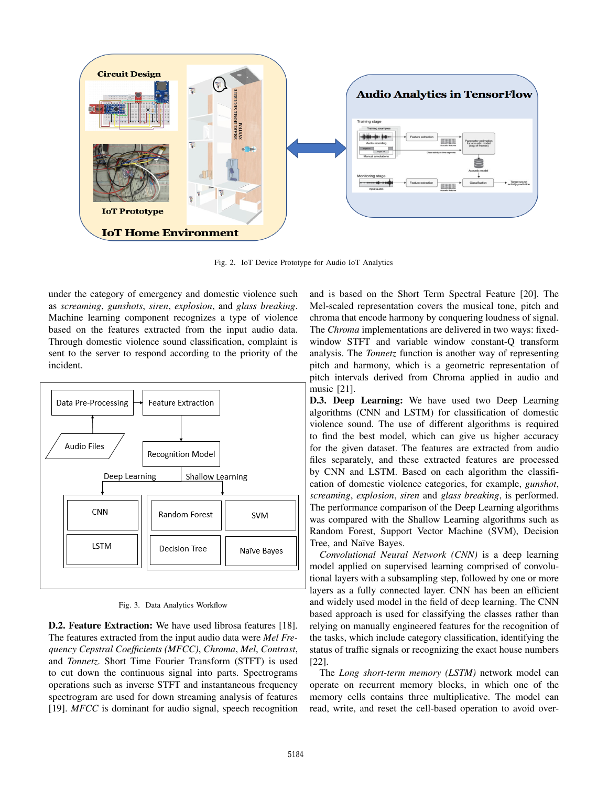

Fig. 2. IoT Device Prototype for Audio IoT Analytics

under the category of emergency and domestic violence such as *screaming*, *gunshots*, *siren*, *explosion*, and *glass breaking*. Machine learning component recognizes a type of violence based on the features extracted from the input audio data. Through domestic violence sound classification, complaint is sent to the server to respond according to the priority of the incident.



Fig. 3. Data Analytics Workflow

D.2. Feature Extraction: We have used librosa features [18]. The features extracted from the input audio data were *Mel Frequency Cepstral Coefficients (MFCC)*, *Chroma*, *Mel*, *Contrast*, and *Tonnetz*. Short Time Fourier Transform (STFT) is used to cut down the continuous signal into parts. Spectrograms operations such as inverse STFT and instantaneous frequency spectrogram are used for down streaming analysis of features [19]. *MFCC* is dominant for audio signal, speech recognition

and is based on the Short Term Spectral Feature [20]. The Mel-scaled representation covers the musical tone, pitch and chroma that encode harmony by conquering loudness of signal. The *Chroma* implementations are delivered in two ways: fixedwindow STFT and variable window constant-Q transform analysis. The *Tonnetz* function is another way of representing pitch and harmony, which is a geometric representation of pitch intervals derived from Chroma applied in audio and music [21].

D.3. Deep Learning: We have used two Deep Learning algorithms (CNN and LSTM) for classification of domestic violence sound. The use of different algorithms is required to find the best model, which can give us higher accuracy for the given dataset. The features are extracted from audio files separately, and these extracted features are processed by CNN and LSTM. Based on each algorithm the classification of domestic violence categories, for example, *gunshot*, *screaming*, *explosion*, *siren* and *glass breaking*, is performed. The performance comparison of the Deep Learning algorithms was compared with the Shallow Learning algorithms such as Random Forest, Support Vector Machine (SVM), Decision Tree, and Naïve Bayes.

*Convolutional Neural Network (CNN)* is a deep learning model applied on supervised learning comprised of convolutional layers with a subsampling step, followed by one or more layers as a fully connected layer. CNN has been an efficient and widely used model in the field of deep learning. The CNN based approach is used for classifying the classes rather than relying on manually engineered features for the recognition of the tasks, which include category classification, identifying the status of traffic signals or recognizing the exact house numbers [22].

The *Long short-term memory (LSTM)* network model can operate on recurrent memory blocks, in which one of the memory cells contains three multiplicative. The model can read, write, and reset the cell-based operation to avoid over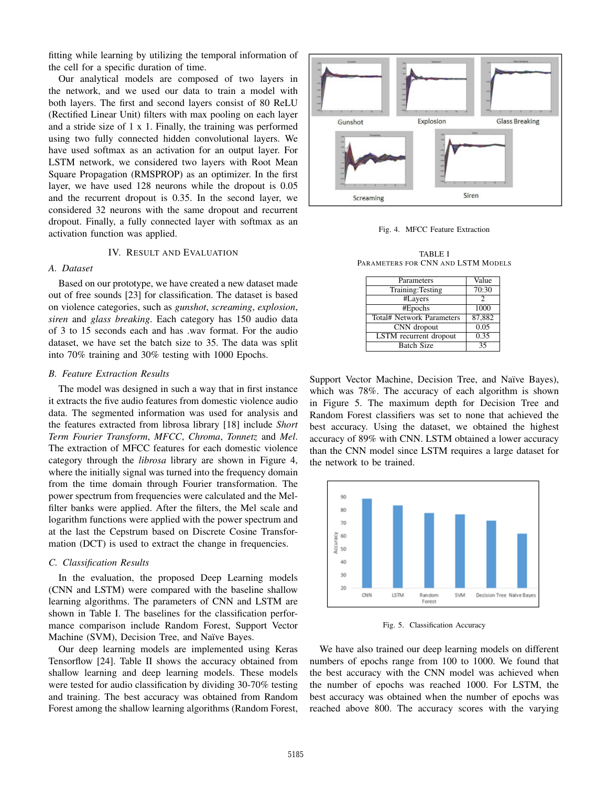fitting while learning by utilizing the temporal information of the cell for a specific duration of time.

Our analytical models are composed of two layers in the network, and we used our data to train a model with both layers. The first and second layers consist of 80 ReLU (Rectified Linear Unit) filters with max pooling on each layer and a stride size of 1 x 1. Finally, the training was performed using two fully connected hidden convolutional layers. We have used softmax as an activation for an output layer. For LSTM network, we considered two layers with Root Mean Square Propagation (RMSPROP) as an optimizer. In the first layer, we have used 128 neurons while the dropout is 0.05 and the recurrent dropout is 0.35. In the second layer, we considered 32 neurons with the same dropout and recurrent dropout. Finally, a fully connected layer with softmax as an activation function was applied.

# IV. RESULT AND EVALUATION

## *A. Dataset*

Based on our prototype, we have created a new dataset made out of free sounds [23] for classification. The dataset is based on violence categories, such as *gunshot*, *screaming*, *explosion*, *siren* and *glass breaking*. Each category has 150 audio data of 3 to 15 seconds each and has .wav format. For the audio dataset, we have set the batch size to 35. The data was split into 70% training and 30% testing with 1000 Epochs.

#### *B. Feature Extraction Results*

The model was designed in such a way that in first instance it extracts the five audio features from domestic violence audio data. The segmented information was used for analysis and the features extracted from librosa library [18] include *Short Term Fourier Transform*, *MFCC*, *Chroma*, *Tonnetz* and *Mel*. The extraction of MFCC features for each domestic violence category through the *librosa* library are shown in Figure 4, where the initially signal was turned into the frequency domain from the time domain through Fourier transformation. The power spectrum from frequencies were calculated and the Melfilter banks were applied. After the filters, the Mel scale and logarithm functions were applied with the power spectrum and at the last the Cepstrum based on Discrete Cosine Transformation (DCT) is used to extract the change in frequencies.

## *C. Classification Results*

In the evaluation, the proposed Deep Learning models (CNN and LSTM) were compared with the baseline shallow learning algorithms. The parameters of CNN and LSTM are shown in Table I. The baselines for the classification performance comparison include Random Forest, Support Vector Machine (SVM), Decision Tree, and Naïve Bayes.

Our deep learning models are implemented using Keras Tensorflow [24]. Table II shows the accuracy obtained from shallow learning and deep learning models. These models were tested for audio classification by dividing 30-70% testing and training. The best accuracy was obtained from Random Forest among the shallow learning algorithms (Random Forest,



Fig. 4. MFCC Feature Extraction

TABLE I PARAMETERS FOR CNN AND LSTM MODELS

| Parameters                    | Value         |
|-------------------------------|---------------|
| Training: Testing             | 70:30         |
| #Layers                       | $\mathcal{P}$ |
| #Epochs                       | 1000          |
| Total# Network Parameters     | 87,882        |
| CNN dropout                   | 0.05          |
| <b>LSTM</b> recurrent dropout | 0.35          |
| <b>Batch Size</b>             | 35            |

Support Vector Machine, Decision Tree, and Naïve Bayes), which was 78%. The accuracy of each algorithm is shown in Figure 5. The maximum depth for Decision Tree and Random Forest classifiers was set to none that achieved the best accuracy. Using the dataset, we obtained the highest accuracy of 89% with CNN. LSTM obtained a lower accuracy than the CNN model since LSTM requires a large dataset for the network to be trained.



Fig. 5. Classification Accuracy

We have also trained our deep learning models on different numbers of epochs range from 100 to 1000. We found that the best accuracy with the CNN model was achieved when the number of epochs was reached 1000. For LSTM, the best accuracy was obtained when the number of epochs was reached above 800. The accuracy scores with the varying